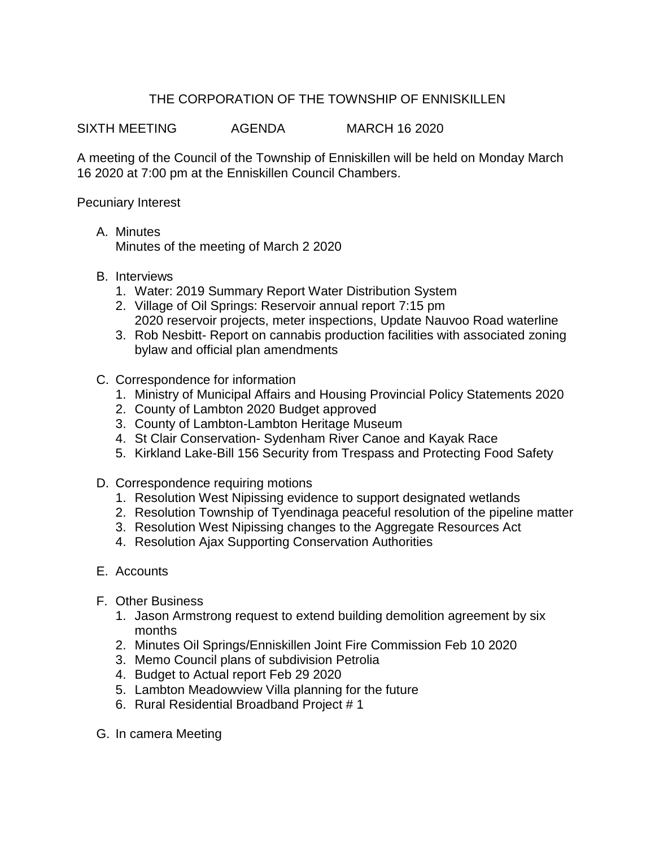## THE CORPORATION OF THE TOWNSHIP OF ENNISKILLEN

SIXTH MEETING AGENDA MARCH 16 2020

A meeting of the Council of the Township of Enniskillen will be held on Monday March 16 2020 at 7:00 pm at the Enniskillen Council Chambers.

Pecuniary Interest

- A. Minutes Minutes of the meeting of March 2 2020
- B. Interviews
	- 1. Water: 2019 Summary Report Water Distribution System
	- 2. Village of Oil Springs: Reservoir annual report 7:15 pm 2020 reservoir projects, meter inspections, Update Nauvoo Road waterline
	- 3. Rob Nesbitt- Report on cannabis production facilities with associated zoning bylaw and official plan amendments
- C. Correspondence for information
	- 1. Ministry of Municipal Affairs and Housing Provincial Policy Statements 2020
	- 2. County of Lambton 2020 Budget approved
	- 3. County of Lambton-Lambton Heritage Museum
	- 4. St Clair Conservation- Sydenham River Canoe and Kayak Race
	- 5. Kirkland Lake-Bill 156 Security from Trespass and Protecting Food Safety
- D. Correspondence requiring motions
	- 1. Resolution West Nipissing evidence to support designated wetlands
	- 2. Resolution Township of Tyendinaga peaceful resolution of the pipeline matter
	- 3. Resolution West Nipissing changes to the Aggregate Resources Act
	- 4. Resolution Ajax Supporting Conservation Authorities
- E. Accounts
- F. Other Business
	- 1. Jason Armstrong request to extend building demolition agreement by six months
	- 2. Minutes Oil Springs/Enniskillen Joint Fire Commission Feb 10 2020
	- 3. Memo Council plans of subdivision Petrolia
	- 4. Budget to Actual report Feb 29 2020
	- 5. Lambton Meadowview Villa planning for the future
	- 6. Rural Residential Broadband Project # 1
- G. In camera Meeting